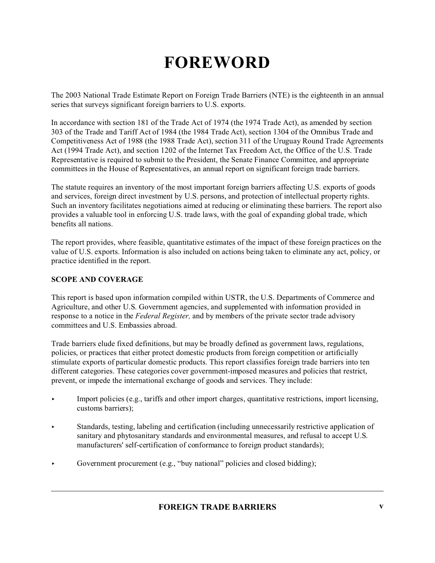The 2003 National Trade Estimate Report on Foreign Trade Barriers (NTE) is the eighteenth in an annual series that surveys significant foreign barriers to U.S. exports.

In accordance with section 181 of the Trade Act of 1974 (the 1974 Trade Act), as amended by section 303 of the Trade and Tariff Act of 1984 (the 1984 Trade Act), section 1304 of the Omnibus Trade and Competitiveness Act of 1988 (the 1988 Trade Act), section 311 of the Uruguay Round Trade Agreements Act (1994 Trade Act), and section 1202 of the Internet Tax Freedom Act, the Office of the U.S. Trade Representative is required to submit to the President, the Senate Finance Committee, and appropriate committees in the House of Representatives, an annual report on significant foreign trade barriers.

The statute requires an inventory of the most important foreign barriers affecting U.S. exports of goods and services, foreign direct investment by U.S. persons, and protection of intellectual property rights. Such an inventory facilitates negotiations aimed at reducing or eliminating these barriers. The report also provides a valuable tool in enforcing U.S. trade laws, with the goal of expanding global trade, which benefits all nations.

The report provides, where feasible, quantitative estimates of the impact of these foreign practices on the value of U.S. exports. Information is also included on actions being taken to eliminate any act, policy, or practice identified in the report.

### **SCOPE AND COVERAGE**

This report is based upon information compiled within USTR, the U.S. Departments of Commerce and Agriculture, and other U.S. Government agencies, and supplemented with information provided in response to a notice in the *Federal Register,* and by members of the private sector trade advisory committees and U.S. Embassies abroad.

Trade barriers elude fixed definitions, but may be broadly defined as government laws, regulations, policies, or practices that either protect domestic products from foreign competition or artificially stimulate exports of particular domestic products. This report classifies foreign trade barriers into ten different categories. These categories cover government-imposed measures and policies that restrict, prevent, or impede the international exchange of goods and services. They include:

- < Import policies (e.g., tariffs and other import charges, quantitative restrictions, import licensing, customs barriers);
- < Standards, testing, labeling and certification (including unnecessarily restrictive application of sanitary and phytosanitary standards and environmental measures, and refusal to accept U.S. manufacturers' self-certification of conformance to foreign product standards);
- Government procurement (e.g., "buy national" policies and closed bidding);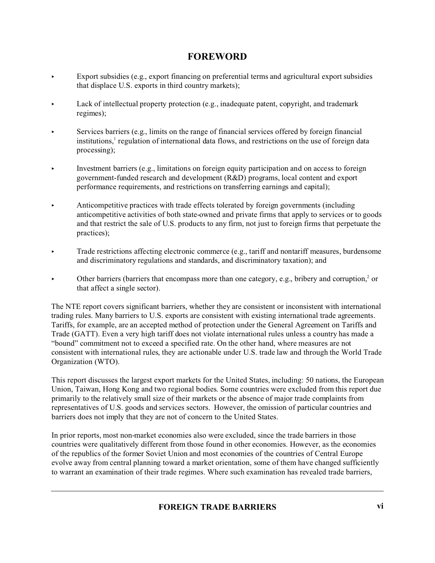- Export subsidies (e.g., export financing on preferential terms and agricultural export subsidies that displace U.S. exports in third country markets);
- Lack of intellectual property protection  $(e.g., inadequate pattern, copyright, and trademark)$ regimes);
- < Services barriers (e.g., limits on the range of financial services offered by foreign financial institutions,<sup>1</sup> regulation of international data flows, and restrictions on the use of foreign data processing);
- < Investment barriers (e.g., limitations on foreign equity participation and on access to foreign government-funded research and development (R&D) programs, local content and export performance requirements, and restrictions on transferring earnings and capital);
- < Anticompetitive practices with trade effects tolerated by foreign governments (including anticompetitive activities of both state-owned and private firms that apply to services or to goods and that restrict the sale of U.S. products to any firm, not just to foreign firms that perpetuate the practices);
- < Trade restrictions affecting electronic commerce (e.g., tariff and nontariff measures, burdensome and discriminatory regulations and standards, and discriminatory taxation); and
- $\triangleright$  Other barriers (barriers that encompass more than one category, e.g., bribery and corruption,<sup>2</sup> or that affect a single sector).

The NTE report covers significant barriers, whether they are consistent or inconsistent with international trading rules. Many barriers to U.S. exports are consistent with existing international trade agreements. Tariffs, for example, are an accepted method of protection under the General Agreement on Tariffs and Trade (GATT). Even a very high tariff does not violate international rules unless a country has made a "bound" commitment not to exceed a specified rate. On the other hand, where measures are not consistent with international rules, they are actionable under U.S. trade law and through the World Trade Organization (WTO).

This report discusses the largest export markets for the United States, including: 50 nations, the European Union, Taiwan, Hong Kong and two regional bodies. Some countries were excluded from this report due primarily to the relatively small size of their markets or the absence of major trade complaints from representatives of U.S. goods and services sectors. However, the omission of particular countries and barriers does not imply that they are not of concern to the United States.

In prior reports, most non-market economies also were excluded, since the trade barriers in those countries were qualitatively different from those found in other economies. However, as the economies of the republics of the former Soviet Union and most economies of the countries of Central Europe evolve away from central planning toward a market orientation, some of them have changed sufficiently to warrant an examination of their trade regimes. Where such examination has revealed trade barriers,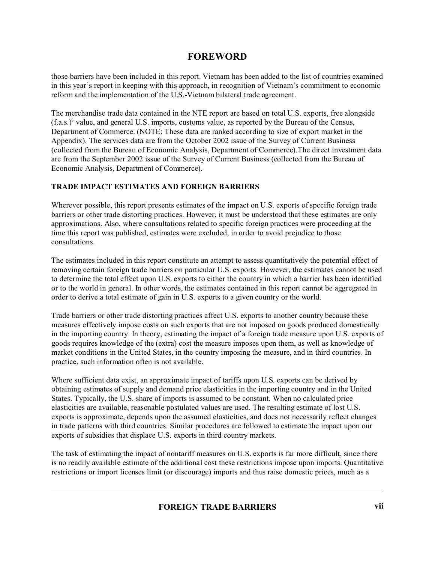those barriers have been included in this report. Vietnam has been added to the list of countries examined in this year's report in keeping with this approach, in recognition of Vietnam's commitment to economic reform and the implementation of the U.S.-Vietnam bilateral trade agreement.

The merchandise trade data contained in the NTE report are based on total U.S. exports, free alongside  $(f.a.s.)<sup>3</sup>$  value, and general U.S. imports, customs value, as reported by the Bureau of the Census, Department of Commerce. (NOTE: These data are ranked according to size of export market in the Appendix). The services data are from the October 2002 issue of the Survey of Current Business (collected from the Bureau of Economic Analysis, Department of Commerce).The direct investment data are from the September 2002 issue of the Survey of Current Business (collected from the Bureau of Economic Analysis, Department of Commerce).

## **TRADE IMPACT ESTIMATES AND FOREIGN BARRIERS**

Wherever possible, this report presents estimates of the impact on U.S. exports of specific foreign trade barriers or other trade distorting practices. However, it must be understood that these estimates are only approximations. Also, where consultations related to specific foreign practices were proceeding at the time this report was published, estimates were excluded, in order to avoid prejudice to those consultations.

The estimates included in this report constitute an attempt to assess quantitatively the potential effect of removing certain foreign trade barriers on particular U.S. exports. However, the estimates cannot be used to determine the total effect upon U.S. exports to either the country in which a barrier has been identified or to the world in general. In other words, the estimates contained in this report cannot be aggregated in order to derive a total estimate of gain in U.S. exports to a given country or the world.

Trade barriers or other trade distorting practices affect U.S. exports to another country because these measures effectively impose costs on such exports that are not imposed on goods produced domestically in the importing country. In theory, estimating the impact of a foreign trade measure upon U.S. exports of goods requires knowledge of the (extra) cost the measure imposes upon them, as well as knowledge of market conditions in the United States, in the country imposing the measure, and in third countries. In practice, such information often is not available.

Where sufficient data exist, an approximate impact of tariffs upon U.S. exports can be derived by obtaining estimates of supply and demand price elasticities in the importing country and in the United States. Typically, the U.S. share of imports is assumed to be constant. When no calculated price elasticities are available, reasonable postulated values are used. The resulting estimate of lost U.S. exports is approximate, depends upon the assumed elasticities, and does not necessarily reflect changes in trade patterns with third countries. Similar procedures are followed to estimate the impact upon our exports of subsidies that displace U.S. exports in third country markets.

The task of estimating the impact of nontariff measures on U.S. exports is far more difficult, since there is no readily available estimate of the additional cost these restrictions impose upon imports. Quantitative restrictions or import licenses limit (or discourage) imports and thus raise domestic prices, much as a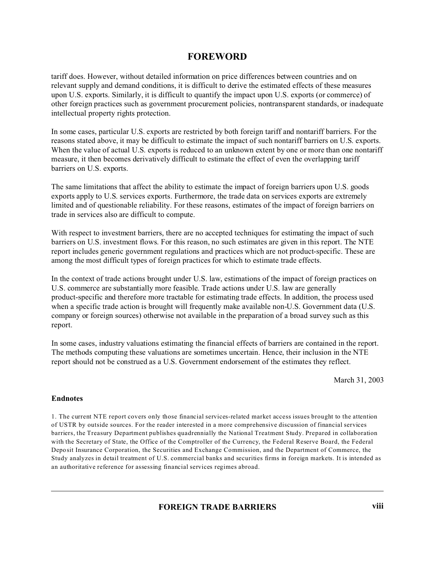tariff does. However, without detailed information on price differences between countries and on relevant supply and demand conditions, it is difficult to derive the estimated effects of these measures upon U.S. exports. Similarly, it is difficult to quantify the impact upon U.S. exports (or commerce) of other foreign practices such as government procurement policies, nontransparent standards, or inadequate intellectual property rights protection.

In some cases, particular U.S. exports are restricted by both foreign tariff and nontariff barriers. For the reasons stated above, it may be difficult to estimate the impact of such nontariff barriers on U.S. exports. When the value of actual U.S. exports is reduced to an unknown extent by one or more than one nontariff measure, it then becomes derivatively difficult to estimate the effect of even the overlapping tariff barriers on U.S. exports.

The same limitations that affect the ability to estimate the impact of foreign barriers upon U.S. goods exports apply to U.S. services exports. Furthermore, the trade data on services exports are extremely limited and of questionable reliability. For these reasons, estimates of the impact of foreign barriers on trade in services also are difficult to compute.

With respect to investment barriers, there are no accepted techniques for estimating the impact of such barriers on U.S. investment flows. For this reason, no such estimates are given in this report. The NTE report includes generic government regulations and practices which are not product-specific. These are among the most difficult types of foreign practices for which to estimate trade effects.

In the context of trade actions brought under U.S. law, estimations of the impact of foreign practices on U.S. commerce are substantially more feasible. Trade actions under U.S. law are generally product-specific and therefore more tractable for estimating trade effects. In addition, the process used when a specific trade action is brought will frequently make available non-U.S. Government data (U.S. company or foreign sources) otherwise not available in the preparation of a broad survey such as this report.

In some cases, industry valuations estimating the financial effects of barriers are contained in the report. The methods computing these valuations are sometimes uncertain. Hence, their inclusion in the NTE report should not be construed as a U.S. Government endorsement of the estimates they reflect.

March 31, 2003

#### **Endnotes**

1. The current NTE report covers only those financial services-related market access issues brought to the attention of USTR by outside sources. For the reader interested in a more comprehensive discussion of financial services barriers, the Treasury Department publishes quadrennially the National Treatment Study. Prepared in collaboration with the Secretary of State, the Office of the Comptroller of the Currency, the Federal Reserve Board, the Federal Deposit Insurance Corporation, the Securities and Exchange Commission, and the Department of Commerce, the Study analyzes in detail treatment of U.S. commercial banks and securities firms in foreign markets. It is intended as an authoritative reference for assessing financial services regimes abroad.

**FOREIGN TRADE BARRIERS viii**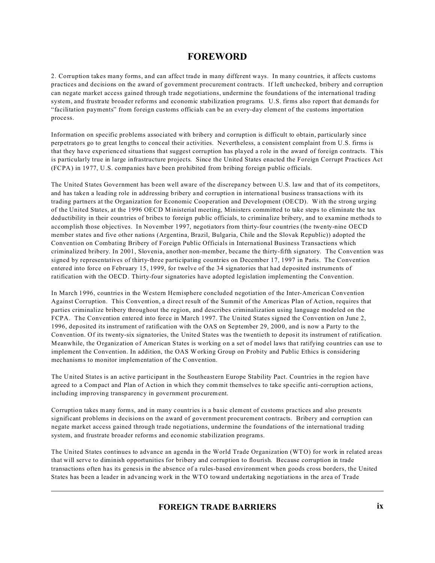2. Corruption takes many forms, and can affect trade in many different ways. In many countries, it affects customs practices and decisions on the award of government procurement contracts. If left unchecked, bribery and corruption can negate market access gained through trade negotiations, undermine the foundations of the international trading system, and frustrate broader reforms and economic stabilization programs. U.S. firms also report that demands for "facilitation payments" from foreign customs officials can be an every-day element of the customs importation process.

Information on specific problems associated with bribery and corruption is difficult to obtain, particularly since perpetrators go to great lengths to conceal their activities. Nevertheless, a consistent complaint from U.S. firms is that they have experienced situations that suggest corruption has played a role in the award of foreign contracts. This is particularly true in large infrastructure projects. Since the United States enacted the Foreign Corrupt Practices Act (FCPA) in 1977, U.S. companies have been prohibited from bribing foreign public officials.

The United States Government has been well aware of the discrepancy between U.S. law and that of its competitors, and has taken a leading role in addressing bribery and corruption in international business transactions with its trading partners at the Organization for Economic Cooperation and Development (OECD). With the strong urging of the United States, at the 1996 OECD Ministerial meeting, Ministers committed to take steps to eliminate the tax deductibility in their countries of bribes to foreign public officials, to criminalize bribery, and to examine methods to accomplish those objectives. In November 1997, negotiators from thirty-four countries (the twenty-nine OECD member states and five other nations (Argentina, Brazil, Bulgaria, Chile and the Slovak Republic)) adopted the Convention on Combating Bribery of Foreign Public Officials in International Business Transactions which criminalized bribery. In 2001, Slovenia, another non-member, became the thirty-fifth signatory. The Convention was signed by representatives of thirty-three participating countries on December 17, 1997 in Paris. The Convention entered into force on February 15, 1999, for twelve of the 34 signatories that had deposited instruments of ratification with the OECD. Thirty-four signatories have adopted legislation implementing the Convention.

In March 1996, countries in the Western Hemisphere concluded negotiation of the Inter-American Convention Against Corruption. This Convention, a direct result of the Summit of the Americas Plan of Action, requires that parties criminalize bribery throughout the region, and describes criminalization using language modeled on the FCPA. The Convention entered into force in March 1997. The United States signed the Convention on June 2, 1996, deposited its instrument of ratification with the OAS on September 29, 2000, and is now a Party to the Convention. Of its twenty-six signatories, the United States was the twentieth to deposit its instrument of ratification. Meanwhile, the Organization of American States is working on a set of model laws that ratifying countries can use to implement the Convention. In addition, the OAS Working Group on Probity and Public Ethics is considering mechanisms to monitor implementation of the Convention.

The United States is an active participant in the Southeastern Europe Stability Pact. Countries in the region have agreed to a Compact and Plan of Action in which they commit themselves to take specific anti-corruption actions, including improving transparency in government procurement.

Corruption takes many forms, and in many countries is a basic element of customs practices and also presents significant problems in decisions on the award of government procurement contracts. Bribery and corruption can negate market access gained through trade negotiations, undermine the foundations of the international trading system, and frustrate broader reforms and economic stabilization programs.

The United States continues to advance an agenda in the World Trade Organization (WTO) for work in related areas that will serve to diminish opportunities for bribery and corruption to flourish. Because corruption in trade transactions often has its genesis in the absence of a rules-based environment when goods cross borders, the United States has been a leader in advancing work in the WTO toward undertaking negotiations in the area of Trade